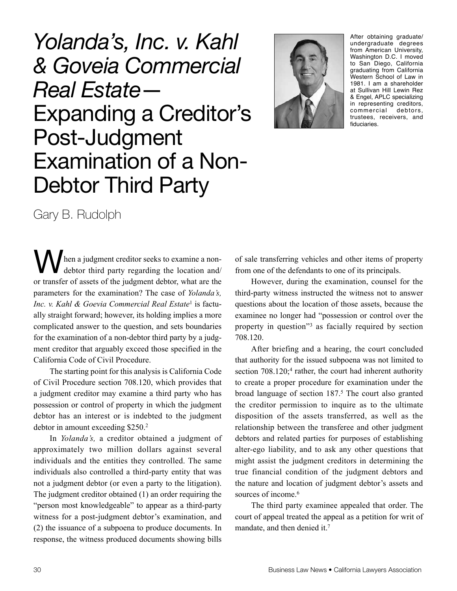# *Yolanda's, Inc. v. Kahl & Goveia Commercial Real Estate*— Expanding a Creditor's Post-Judgment Examination of a Non-Debtor Third Party



After obtaining graduate/ undergraduate degrees from American University, Washington D.C. I moved to San Diego, California graduating from California Western School of Law in 1981. I am a shareholder at Sullivan Hill Lewin Rez & Engel, APLC specializing in representing creditors,<br>commercial debtors,  $commercial$ trustees, receivers, and fiduciaries.

Gary B. Rudolph

When a judgment creditor seeks to examine a non-<br>debtor third party regarding the location and/<br>or transfer of assets of the judgment debtor, what are the debtor third party regarding the location and/ or transfer of assets of the judgment debtor, what are the parameters for the examination? The case of *Yolanda's, Inc. v. Kahl & Goevia Commercial Real Estate*1 is factually straight forward; however, its holding implies a more complicated answer to the question, and sets boundaries for the examination of a non-debtor third party by a judgment creditor that arguably exceed those specified in the California Code of Civil Procedure.

The starting point for this analysis is California Code of Civil Procedure section 708.120, which provides that a judgment creditor may examine a third party who has possession or control of property in which the judgment debtor has an interest or is indebted to the judgment debtor in amount exceeding \$250.<sup>2</sup>

In *Yolanda's,* a creditor obtained a judgment of approximately two million dollars against several individuals and the entities they controlled. The same individuals also controlled a third-party entity that was not a judgment debtor (or even a party to the litigation). The judgment creditor obtained (1) an order requiring the "person most knowledgeable" to appear as a third-party witness for a post-judgment debtor's examination, and (2) the issuance of a subpoena to produce documents. In response, the witness produced documents showing bills

of sale transferring vehicles and other items of property from one of the defendants to one of its principals.

However, during the examination, counsel for the third-party witness instructed the witness not to answer questions about the location of those assets, because the examinee no longer had "possession or control over the property in question"3 as facially required by section 708.120.

After briefing and a hearing, the court concluded that authority for the issued subpoena was not limited to section  $708.120$ ;<sup>4</sup> rather, the court had inherent authority to create a proper procedure for examination under the broad language of section 187.<sup>5</sup> The court also granted the creditor permission to inquire as to the ultimate disposition of the assets transferred, as well as the relationship between the transferee and other judgment debtors and related parties for purposes of establishing alter-ego liability, and to ask any other questions that might assist the judgment creditors in determining the true financial condition of the judgment debtors and the nature and location of judgment debtor's assets and sources of income.<sup>6</sup>

The third party examinee appealed that order. The court of appeal treated the appeal as a petition for writ of mandate, and then denied it.<sup>7</sup>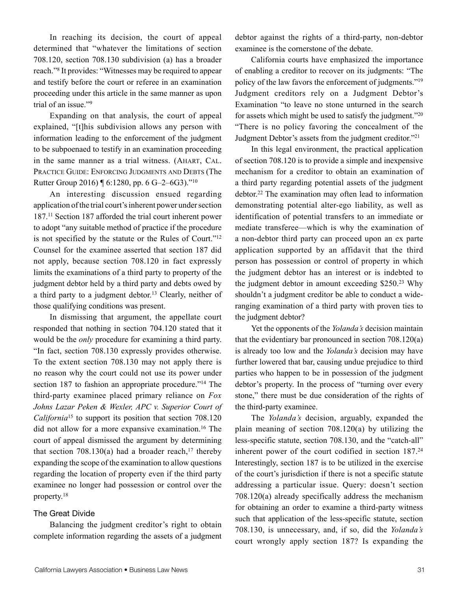In reaching its decision, the court of appeal determined that "whatever the limitations of section 708.120, section 708.130 subdivision (a) has a broader reach."8 It provides: "Witnesses may be required to appear and testify before the court or referee in an examination proceeding under this article in the same manner as upon trial of an issue."9

Expanding on that analysis, the court of appeal explained, "[t]his subdivision allows any person with information leading to the enforcement of the judgment to be subpoenaed to testify in an examination proceeding in the same manner as a trial witness. (Ahart, Cal. PRACTICE GUIDE: ENFORCING JUDGMENTS AND DEBTS (The Rutter Group 2016) ¶ 6:1280, pp. 6 G–2–6G3)."10

An interesting discussion ensued regarding application of the trial court's inherent power under section 187.11 Section 187 afforded the trial court inherent power to adopt "any suitable method of practice if the procedure is not specified by the statute or the Rules of Court."12 Counsel for the examinee asserted that section 187 did not apply, because section 708.120 in fact expressly limits the examinations of a third party to property of the judgment debtor held by a third party and debts owed by a third party to a judgment debtor.<sup>13</sup> Clearly, neither of those qualifying conditions was present.

In dismissing that argument, the appellate court responded that nothing in section 704.120 stated that it would be the *only* procedure for examining a third party. "In fact, section 708.130 expressly provides otherwise. To the extent section 708.130 may not apply there is no reason why the court could not use its power under section 187 to fashion an appropriate procedure."<sup>14</sup> The third-party examinee placed primary reliance on *Fox Johns Lazar Peken & Wexler, APC v. Superior Court of California*15 to support its position that section 708.120 did not allow for a more expansive examination.16 The court of appeal dismissed the argument by determining that section  $708.130(a)$  had a broader reach,<sup>17</sup> thereby expanding the scope of the examination to allow questions regarding the location of property even if the third party examinee no longer had possession or control over the property.18

#### The Great Divide

Balancing the judgment creditor's right to obtain complete information regarding the assets of a judgment debtor against the rights of a third-party, non-debtor examinee is the cornerstone of the debate.

California courts have emphasized the importance of enabling a creditor to recover on its judgments: "The policy of the law favors the enforcement of judgments."19 Judgment creditors rely on a Judgment Debtor's Examination "to leave no stone unturned in the search for assets which might be used to satisfy the judgment."20 "There is no policy favoring the concealment of the Judgment Debtor's assets from the judgment creditor."21

In this legal environment, the practical application of section 708.120 is to provide a simple and inexpensive mechanism for a creditor to obtain an examination of a third party regarding potential assets of the judgment debtor.22 The examination may often lead to information demonstrating potential alter-ego liability, as well as identification of potential transfers to an immediate or mediate transferee—which is why the examination of a non-debtor third party can proceed upon an ex parte application supported by an affidavit that the third person has possession or control of property in which the judgment debtor has an interest or is indebted to the judgment debtor in amount exceeding \$250.23 Why shouldn't a judgment creditor be able to conduct a wideranging examination of a third party with proven ties to the judgment debtor?

Yet the opponents of the *Yolanda's* decision maintain that the evidentiary bar pronounced in section 708.120(a) is already too low and the *Yolanda's* decision may have further lowered that bar, causing undue prejudice to third parties who happen to be in possession of the judgment debtor's property. In the process of "turning over every stone," there must be due consideration of the rights of the third-party examinee.

The *Yolanda's* decision, arguably, expanded the plain meaning of section 708.120(a) by utilizing the less-specific statute, section 708.130, and the "catch-all" inherent power of the court codified in section 187.24 Interestingly, section 187 is to be utilized in the exercise of the court's jurisdiction if there is not a specific statute addressing a particular issue. Query: doesn't section 708.120(a) already specifically address the mechanism for obtaining an order to examine a third-party witness such that application of the less-specific statute, section 708.130, is unnecessary, and, if so, did the *Yolanda's* court wrongly apply section 187? Is expanding the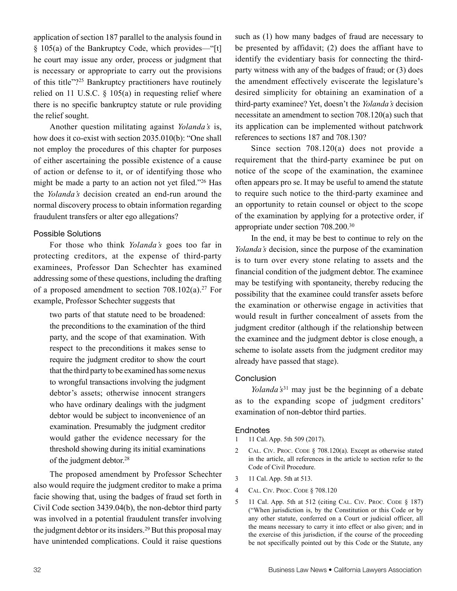application of section 187 parallel to the analysis found in § 105(a) of the Bankruptcy Code, which provides—"[t] he court may issue any order, process or judgment that is necessary or appropriate to carry out the provisions of this title"?25 Bankruptcy practitioners have routinely relied on 11 U.S.C.  $\S$  105(a) in requesting relief where there is no specific bankruptcy statute or rule providing the relief sought.

Another question militating against *Yolanda's* is, how does it co-exist with section 2035.010(b): "One shall not employ the procedures of this chapter for purposes of either ascertaining the possible existence of a cause of action or defense to it, or of identifying those who might be made a party to an action not yet filed."26 Has the *Yolanda's* decision created an end-run around the normal discovery process to obtain information regarding fraudulent transfers or alter ego allegations?

### Possible Solutions

For those who think *Yolanda's* goes too far in protecting creditors, at the expense of third-party examinees, Professor Dan Schechter has examined addressing some of these questions, including the drafting of a proposed amendment to section  $708.102(a).^{27}$  For example, Professor Schechter suggests that

two parts of that statute need to be broadened: the preconditions to the examination of the third party, and the scope of that examination. With respect to the preconditions it makes sense to require the judgment creditor to show the court that the third party to be examined has some nexus to wrongful transactions involving the judgment debtor's assets; otherwise innocent strangers who have ordinary dealings with the judgment debtor would be subject to inconvenience of an examination. Presumably the judgment creditor would gather the evidence necessary for the threshold showing during its initial examinations of the judgment debtor.28

The proposed amendment by Professor Schechter also would require the judgment creditor to make a prima facie showing that, using the badges of fraud set forth in Civil Code section 3439.04(b), the non-debtor third party was involved in a potential fraudulent transfer involving the judgment debtor or its insiders.<sup>29</sup> But this proposal may have unintended complications. Could it raise questions

such as (1) how many badges of fraud are necessary to be presented by affidavit; (2) does the affiant have to identify the evidentiary basis for connecting the thirdparty witness with any of the badges of fraud; or (3) does the amendment effectively eviscerate the legislature's desired simplicity for obtaining an examination of a third-party examinee? Yet, doesn't the *Yolanda's* decision necessitate an amendment to section 708.120(a) such that its application can be implemented without patchwork references to sections 187 and 708.130?

Since section 708.120(a) does not provide a requirement that the third-party examinee be put on notice of the scope of the examination, the examinee often appears pro se. It may be useful to amend the statute to require such notice to the third-party examinee and an opportunity to retain counsel or object to the scope of the examination by applying for a protective order, if appropriate under section 708.200.30

In the end, it may be best to continue to rely on the *Yolanda's* decision, since the purpose of the examination is to turn over every stone relating to assets and the financial condition of the judgment debtor. The examinee may be testifying with spontaneity, thereby reducing the possibility that the examinee could transfer assets before the examination or otherwise engage in activities that would result in further concealment of assets from the judgment creditor (although if the relationship between the examinee and the judgment debtor is close enough, a scheme to isolate assets from the judgment creditor may already have passed that stage).

## **Conclusion**

*Yolanda's*<sup>31</sup> may just be the beginning of a debate as to the expanding scope of judgment creditors' examination of non-debtor third parties.

## **Endnotes**

- 1 11 Cal. App. 5th 509 (2017).
- 2 CAL. CIV. PROC. CODE § 708.120(a). Except as otherwise stated in the article, all references in the article to section refer to the Code of Civil Procedure.
- 3 11 Cal. App. 5th at 513.
- 4 Cal. Civ. Proc. Code § 708.120
- 5 11 Cal. App. 5th at 512 (citing CAL. CIV. PROC. CODE  $\S$  187) ("When jurisdiction is, by the Constitution or this Code or by any other statute, conferred on a Court or judicial officer, all the means necessary to carry it into effect or also given; and in the exercise of this jurisdiction, if the course of the proceeding be not specifically pointed out by this Code or the Statute, any